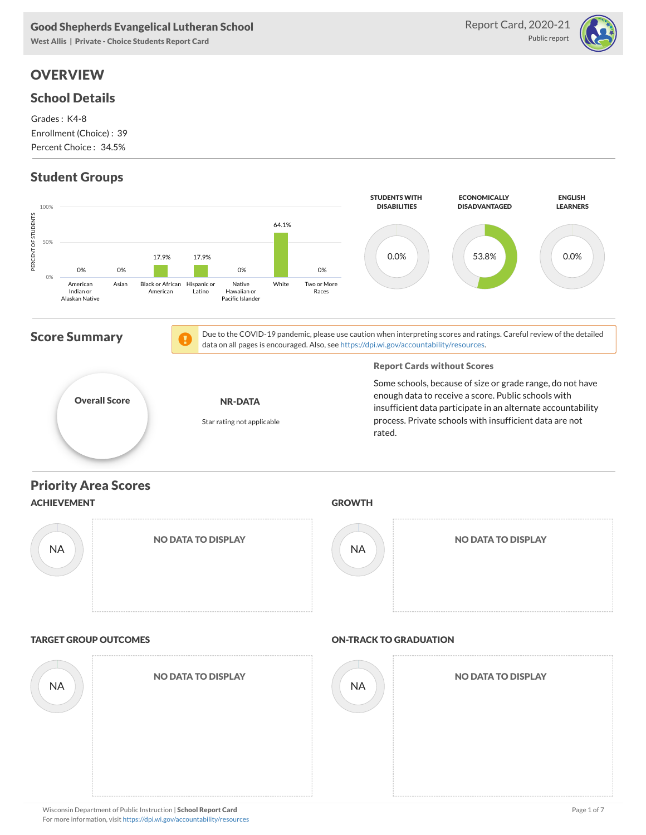West Allis | Private - Choice Students Report Card

# **OVERVIEW**

### School Details

Grades : K4-8 Enrollment (Choice) : 39 Percent Choice : 34.5%

# Student Groups





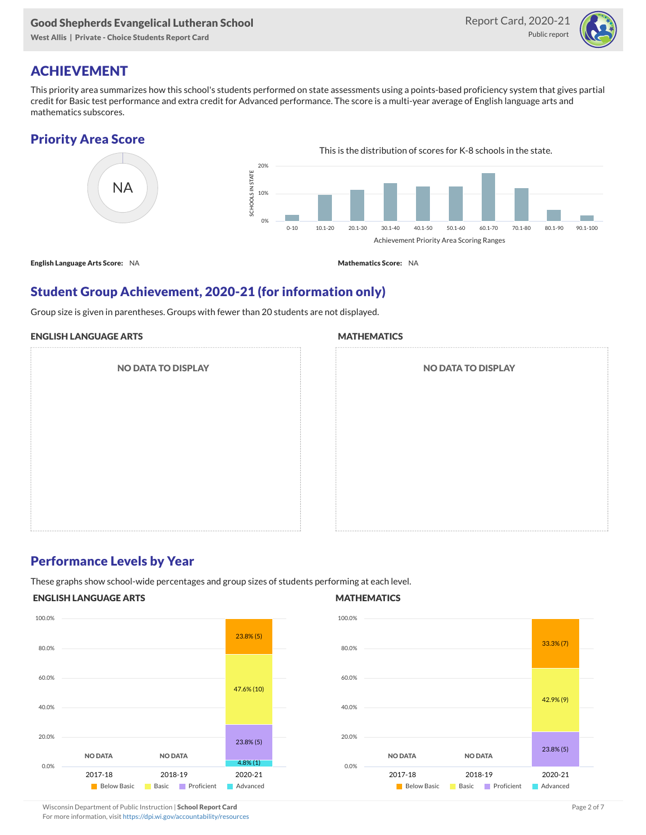West Allis | Private - Choice Students Report Card



# ACHIEVEMENT

This priority area summarizes how this school's students performed on state assessments using a points-based proficiency system that gives partial credit for Basic test performance and extra credit for Advanced performance. The score is a multi-year average of English language arts and mathematics subscores.

# Priority Area Score



English Language Arts Score: NA Mathematics Score: NA

### Student Group Achievement, 2020-21 (for information only)

Group size is given in parentheses. Groups with fewer than 20 students are not displayed.

#### ENGLISH LANGUAGE ARTS

NO DATA TO DISPLAY

#### **MATHEMATICS**

| <b>NO DATA TO DISPLAY</b> |  |
|---------------------------|--|
|                           |  |
|                           |  |
|                           |  |
|                           |  |

### Performance Levels by Year

These graphs show school-wide percentages and group sizes of students performing at each level.

#### ENGLISH LANGUAGE ARTS



#### **MATHEMATICS**



# Wisconsin Department of Public Instruction | School Report Card Page 2 of 7 and 2008 and 2009 and 2 of 7 and 2 of 7

For more information, visit <https://dpi.wi.gov/accountability/resources>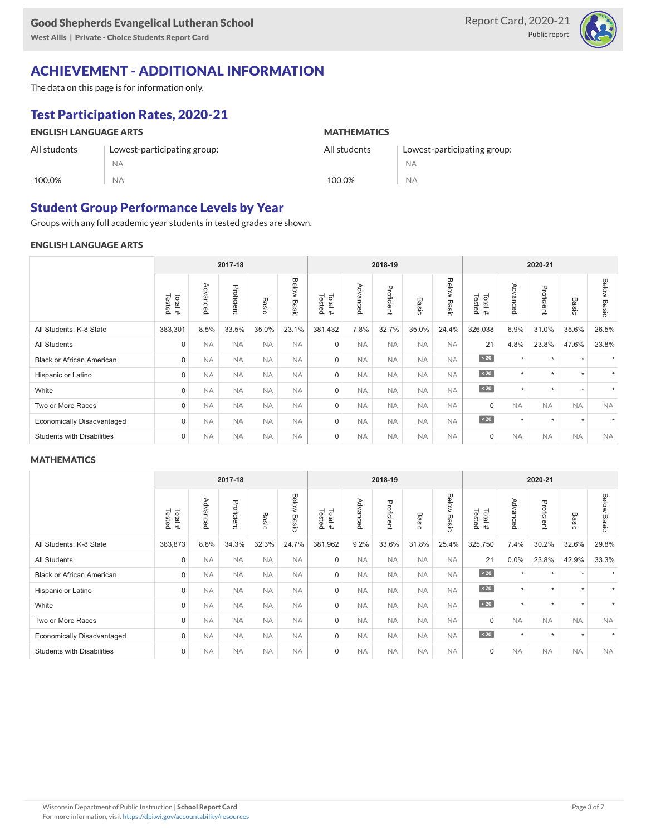West Allis | Private - Choice Students Report Card



# ACHIEVEMENT - ADDITIONAL INFORMATION

The data on this page is for information only.

# Test Participation Rates, 2020-21

#### ENGLISH LANGUAGE ARTS All students 100.0% Lowest-participating group: NA NA **MATHEMATICS** All students 100.0% Lowest-participating group: NA NA

# Student Group Performance Levels by Year

Groups with any full academic year students in tested grades are shown.

### ENGLISH LANGUAGE ARTS

|                                   |                  |           | 2017-18    |           |                       | 2018-19          |           |            |           |                | 2020-21          |           |            |               |                |
|-----------------------------------|------------------|-----------|------------|-----------|-----------------------|------------------|-----------|------------|-----------|----------------|------------------|-----------|------------|---------------|----------------|
|                                   | Tested<br>Total# | Advanced  | Proficient | Basic     | Below<br><b>Basic</b> | Tested<br>Total# | Advanced  | Proficient | Basic     | Below<br>Basic | Tested<br>Total# | Advanced  | Proficient | Basic         | Below<br>Basic |
| All Students: K-8 State           | 383,301          | 8.5%      | 33.5%      | 35.0%     | 23.1%                 | 381,432          | 7.8%      | 32.7%      | 35.0%     | 24.4%          | 326,038          | 6.9%      | 31.0%      | 35.6%         | 26.5%          |
| <b>All Students</b>               | $\mathbf 0$      | <b>NA</b> | <b>NA</b>  | <b>NA</b> | <b>NA</b>             | $\mathbf 0$      | <b>NA</b> | <b>NA</b>  | <b>NA</b> | <b>NA</b>      | 21               | 4.8%      | 23.8%      | 47.6%         | 23.8%          |
| <b>Black or African American</b>  | $\mathbf 0$      | <b>NA</b> | <b>NA</b>  | <b>NA</b> | <b>NA</b>             | $\mathbf 0$      | <b>NA</b> | <b>NA</b>  | <b>NA</b> | <b>NA</b>      | $\angle 20$      | $\star$   | $\star$    |               |                |
| Hispanic or Latino                | $\mathbf 0$      | <b>NA</b> | <b>NA</b>  | <b>NA</b> | <b>NA</b>             | $\mathbf 0$      | <b>NA</b> | <b>NA</b>  | <b>NA</b> | <b>NA</b>      | $\sim 20$        | $\star$   | $\star$    | $\star$       | ٠              |
| White                             | $\mathbf 0$      | <b>NA</b> | <b>NA</b>  | <b>NA</b> | <b>NA</b>             | $\mathbf 0$      | <b>NA</b> | <b>NA</b>  | <b>NA</b> | <b>NA</b>      | $\angle 20$      | $\star$   | $\star$    | $\rightarrow$ |                |
| Two or More Races                 | $\mathbf 0$      | <b>NA</b> | <b>NA</b>  | <b>NA</b> | <b>NA</b>             | $\mathbf 0$      | <b>NA</b> | <b>NA</b>  | <b>NA</b> | <b>NA</b>      | $\mathbf 0$      | <b>NA</b> | <b>NA</b>  | <b>NA</b>     | <b>NA</b>      |
| <b>Economically Disadvantaged</b> | $\mathbf 0$      | <b>NA</b> | <b>NA</b>  | <b>NA</b> | <b>NA</b>             | $\mathbf 0$      | <b>NA</b> | <b>NA</b>  | <b>NA</b> | <b>NA</b>      | $\sim 20$        | $\star$   | $\star$    |               |                |
| <b>Students with Disabilities</b> | $\mathbf 0$      | <b>NA</b> | <b>NA</b>  | <b>NA</b> | <b>NA</b>             | $\mathbf 0$      | <b>NA</b> | <b>NA</b>  | <b>NA</b> | <b>NA</b>      | 0                | <b>NA</b> | <b>NA</b>  | <b>NA</b>     | <b>NA</b>      |

#### **MATHEMATICS**

|                                   |                  |              | 2017-18    |           |                | 2018-19          |           |            |           | 2020-21        |                   |                  |            |           |                       |
|-----------------------------------|------------------|--------------|------------|-----------|----------------|------------------|-----------|------------|-----------|----------------|-------------------|------------------|------------|-----------|-----------------------|
|                                   | Tested<br>Total# | Advance<br>ه | Proficient | Basic     | Below<br>Basic | Tested<br>Total# | Advanced  | Proficient | Basic     | Below<br>Basic | Tested<br>Total # | Advanc<br>Õ<br>Õ | Proficient | Basic     | <b>Below</b><br>Basic |
| All Students: K-8 State           | 383,873          | 8.8%         | 34.3%      | 32.3%     | 24.7%          | 381,962          | 9.2%      | 33.6%      | 31.8%     | 25.4%          | 325,750           | 7.4%             | 30.2%      | 32.6%     | 29.8%                 |
| <b>All Students</b>               | 0                | <b>NA</b>    | <b>NA</b>  | <b>NA</b> | <b>NA</b>      | $\mathbf 0$      | <b>NA</b> | <b>NA</b>  | <b>NA</b> | <b>NA</b>      | 21                | 0.0%             | 23.8%      | 42.9%     | 33.3%                 |
| <b>Black or African American</b>  | $\mathbf 0$      | <b>NA</b>    | <b>NA</b>  | <b>NA</b> | <b>NA</b>      | 0                | <b>NA</b> | <b>NA</b>  | <b>NA</b> | <b>NA</b>      | $\angle 20$       | $\star$          | $\star$    |           |                       |
| Hispanic or Latino                | $\mathbf 0$      | <b>NA</b>    | <b>NA</b>  | <b>NA</b> | <b>NA</b>      | 0                | <b>NA</b> | <b>NA</b>  | <b>NA</b> | <b>NA</b>      | $\angle 20$       | $\star$          | $\star$    | $\ddot{}$ | ٠                     |
| White                             | 0                | <b>NA</b>    | <b>NA</b>  | <b>NA</b> | <b>NA</b>      | $\Omega$         | <b>NA</b> | <b>NA</b>  | <b>NA</b> | <b>NA</b>      | $\angle 20$       | $\star$          | $\star$    | $\ddot{}$ | ٠                     |
| Two or More Races                 | 0                | <b>NA</b>    | <b>NA</b>  | <b>NA</b> | <b>NA</b>      | $\mathbf 0$      | <b>NA</b> | <b>NA</b>  | <b>NA</b> | <b>NA</b>      | $\mathbf 0$       | <b>NA</b>        | <b>NA</b>  | <b>NA</b> | <b>NA</b>             |
| <b>Economically Disadvantaged</b> | $\mathbf 0$      | <b>NA</b>    | <b>NA</b>  | <b>NA</b> | <b>NA</b>      | $\mathbf 0$      | <b>NA</b> | <b>NA</b>  | <b>NA</b> | <b>NA</b>      | $\angle 20$       | $\star$          | $\star$    | $\star$   |                       |
| <b>Students with Disabilities</b> | 0                | <b>NA</b>    | <b>NA</b>  | <b>NA</b> | <b>NA</b>      | $\mathbf 0$      | <b>NA</b> | <b>NA</b>  | <b>NA</b> | <b>NA</b>      | $\mathbf 0$       | <b>NA</b>        | <b>NA</b>  | <b>NA</b> | <b>NA</b>             |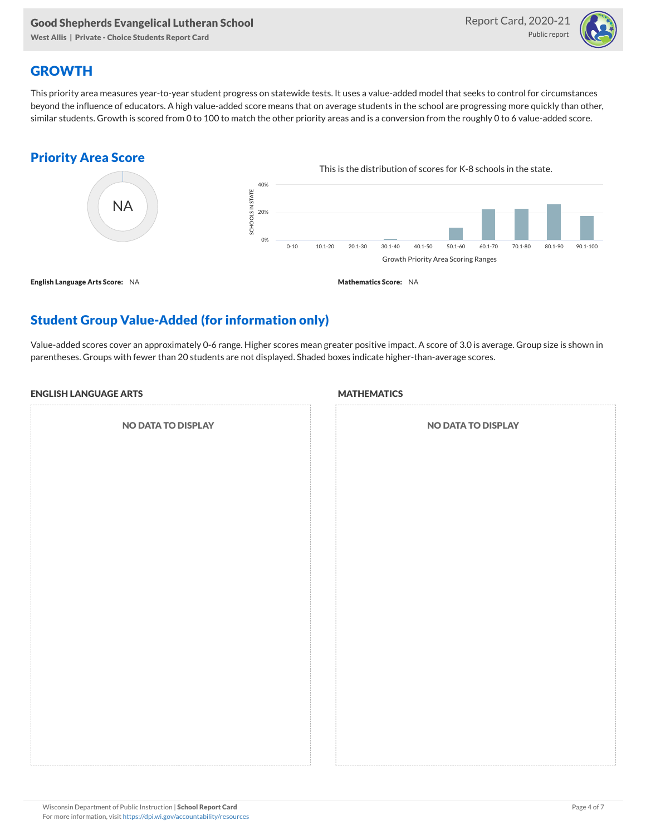West Allis | Private - Choice Students Report Card



### **GROWTH**

This priority area measures year-to-year student progress on statewide tests. It uses a value-added model that seeks to control for circumstances beyond the influence of educators. A high value-added score means that on average students in the school are progressing more quickly than other, similar students. Growth is scored from 0 to 100 to match the other priority areas and is a conversion from the roughly 0 to 6 value-added score.

### Priority Area Score



# Student Group Value-Added (for information only)

Value-added scores cover an approximately 0-6 range. Higher scores mean greater positive impact. A score of 3.0 is average. Group size is shown in parentheses. Groups with fewer than 20 students are not displayed. Shaded boxes indicate higher-than-average scores.

#### ENGLISH LANGUAGE ARTS

NO DATA TO DISPLAY

#### **MATHEMATICS**

| <b>NO DATA TO DISPLAY</b> |  |  |  |  |  |  |  |  |
|---------------------------|--|--|--|--|--|--|--|--|
|                           |  |  |  |  |  |  |  |  |
|                           |  |  |  |  |  |  |  |  |
|                           |  |  |  |  |  |  |  |  |
|                           |  |  |  |  |  |  |  |  |
|                           |  |  |  |  |  |  |  |  |
|                           |  |  |  |  |  |  |  |  |
|                           |  |  |  |  |  |  |  |  |
|                           |  |  |  |  |  |  |  |  |
|                           |  |  |  |  |  |  |  |  |
|                           |  |  |  |  |  |  |  |  |
|                           |  |  |  |  |  |  |  |  |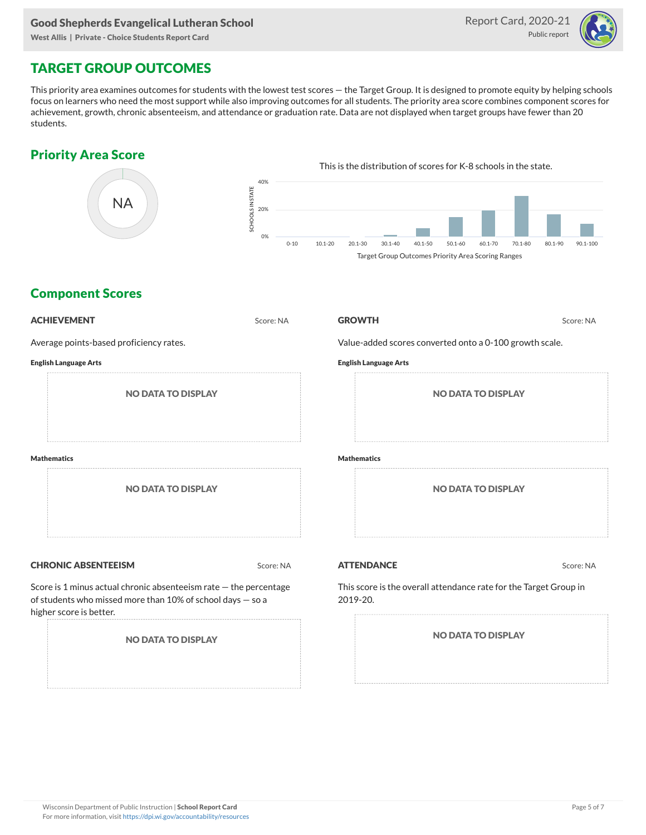West Allis | Private - Choice Students Report Card



# TARGET GROUP OUTCOMES

This priority area examines outcomes for students with the lowest test scores — the Target Group. It is designed to promote equity by helping schools focus on learners who need the most support while also improving outcomes for all students. The priority area score combines component scores for achievement, growth, chronic absenteeism, and attendance or graduation rate. Data are not displayed when target groups have fewer than 20 students.

### Priority Area Score



### Component Scores

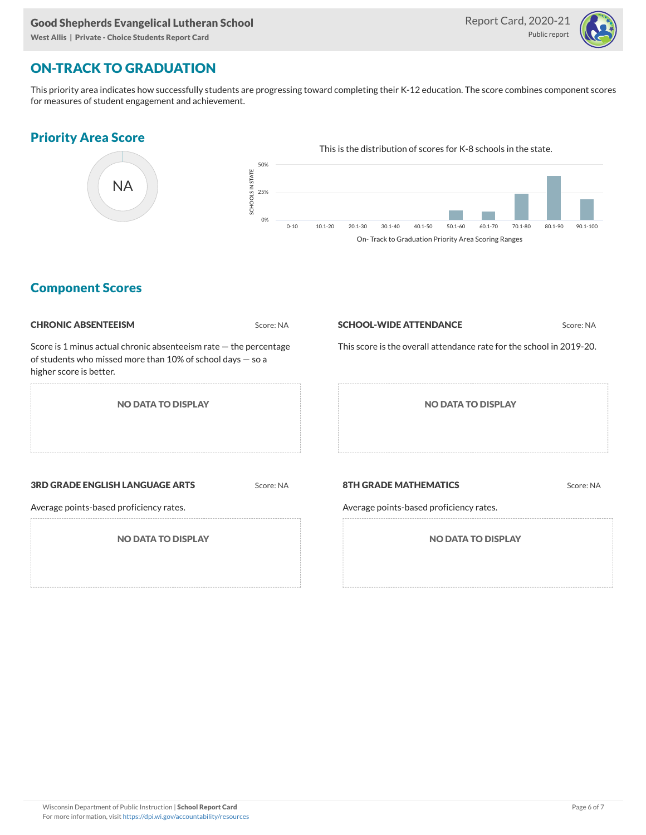West Allis | Private - Choice Students Report Card



### ON-TRACK TO GRADUATION

This priority area indicates how successfully students are progressing toward completing their K-12 education. The score combines component scores for measures of student engagement and achievement.

### Priority Area Score



### Component Scores

| <b>CHRONIC ABSENTEEISM</b>                                                                                                                                   | Score: NA | <b>SCHOOL-WIDE ATTENDANCE</b>                                           | Score: NA |  |  |  |  |
|--------------------------------------------------------------------------------------------------------------------------------------------------------------|-----------|-------------------------------------------------------------------------|-----------|--|--|--|--|
| Score is 1 minus actual chronic absenteeism rate $-$ the percentage<br>of students who missed more than 10% of school days - so a<br>higher score is better. |           | This score is the overall attendance rate for the school in 2019-20.    |           |  |  |  |  |
| <b>NO DATA TO DISPLAY</b>                                                                                                                                    |           | <b>NO DATA TO DISPLAY</b>                                               |           |  |  |  |  |
| <b>3RD GRADE ENGLISH LANGUAGE ARTS</b><br>Average points-based proficiency rates.                                                                            | Score: NA | <b>8TH GRADE MATHEMATICS</b><br>Average points-based proficiency rates. | Score: NA |  |  |  |  |
| <b>NO DATA TO DISPLAY</b>                                                                                                                                    |           | <b>NO DATA TO DISPLAY</b>                                               |           |  |  |  |  |